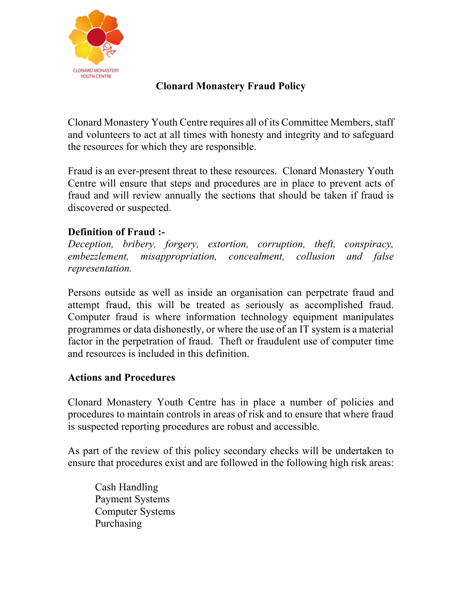

## **Clonard Monastery Fraud Policy**

Clonard Monastery Youth Centre requires all of its Committee Members, staff and volunteers to act at all times with honesty and integrity and to safeguard the resources for which they are responsible.

Fraud is an ever-present threat to these resources. Clonard Monastery Youth Centre will ensure that steps and procedures are in place to prevent acts of fraud and will review annually the sections that should be taken if fraud is discovered or suspected.

## **Definition of Fraud :-**

*Deception, bribery, forgery, extortion, corruption, theft, conspiracy, embezzlement, misappropriation, concealment, collusion and false representation.*

Persons outside as well as inside an organisation can perpetrate fraud and attempt fraud, this will be treated as seriously as accomplished fraud. Computer fraud is where information technology equipment manipulates programmes or data dishonestly, or where the use of an IT system is a material factor in the perpetration of fraud. Theft or fraudulent use of computer time and resources is included in this definition.

## **Actions and Procedures**

Clonard Monastery Youth Centre has in place a number of policies and procedures to maintain controls in areas of risk and to ensure that where fraud is suspected reporting procedures are robust and accessible.

As part of the review of this policy secondary checks will be undertaken to ensure that procedures exist and are followed in the following high risk areas:

Cash Handling Payment Systems Computer Systems Purchasing